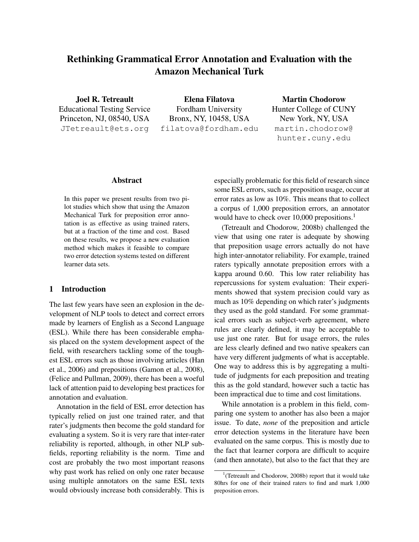# Rethinking Grammatical Error Annotation and Evaluation with the Amazon Mechanical Turk

Joel R. Tetreault Educational Testing Service Princeton, NJ, 08540, USA JTetreault@ets.org

Elena Filatova Fordham University Bronx, NY, 10458, USA filatova@fordham.edu

Martin Chodorow Hunter College of CUNY New York, NY, USA martin.chodorow@ hunter.cuny.edu

#### Abstract

In this paper we present results from two pilot studies which show that using the Amazon Mechanical Turk for preposition error annotation is as effective as using trained raters, but at a fraction of the time and cost. Based on these results, we propose a new evaluation method which makes it feasible to compare two error detection systems tested on different learner data sets.

## 1 Introduction

The last few years have seen an explosion in the development of NLP tools to detect and correct errors made by learners of English as a Second Language (ESL). While there has been considerable emphasis placed on the system development aspect of the field, with researchers tackling some of the toughest ESL errors such as those involving articles (Han et al., 2006) and prepositions (Gamon et al., 2008), (Felice and Pullman, 2009), there has been a woeful lack of attention paid to developing best practices for annotation and evaluation.

Annotation in the field of ESL error detection has typically relied on just one trained rater, and that rater's judgments then become the gold standard for evaluating a system. So it is very rare that inter-rater reliability is reported, although, in other NLP subfields, reporting reliability is the norm. Time and cost are probably the two most important reasons why past work has relied on only one rater because using multiple annotators on the same ESL texts would obviously increase both considerably. This is especially problematic for this field of research since some ESL errors, such as preposition usage, occur at error rates as low as 10%. This means that to collect a corpus of 1,000 preposition errors, an annotator would have to check over 10,000 prepositions.<sup>1</sup>

(Tetreault and Chodorow, 2008b) challenged the view that using one rater is adequate by showing that preposition usage errors actually do not have high inter-annotator reliability. For example, trained raters typically annotate preposition errors with a kappa around 0.60. This low rater reliability has repercussions for system evaluation: Their experiments showed that system precision could vary as much as 10% depending on which rater's judgments they used as the gold standard. For some grammatical errors such as subject-verb agreement, where rules are clearly defined, it may be acceptable to use just one rater. But for usage errors, the rules are less clearly defined and two native speakers can have very different judgments of what is acceptable. One way to address this is by aggregating a multitude of judgments for each preposition and treating this as the gold standard, however such a tactic has been impractical due to time and cost limitations.

While annotation is a problem in this field, comparing one system to another has also been a major issue. To date, *none* of the preposition and article error detection systems in the literature have been evaluated on the same corpus. This is mostly due to the fact that learner corpora are difficult to acquire (and then annotate), but also to the fact that they are

<sup>&</sup>lt;sup>1</sup>(Tetreault and Chodorow, 2008b) report that it would take 80hrs for one of their trained raters to find and mark 1,000 preposition errors.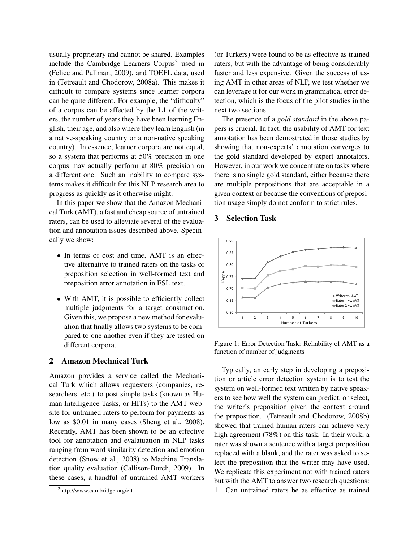usually proprietary and cannot be shared. Examples include the Cambridge Learners Corpus<sup>2</sup> used in (Felice and Pullman, 2009), and TOEFL data, used in (Tetreault and Chodorow, 2008a). This makes it difficult to compare systems since learner corpora can be quite different. For example, the "difficulty" of a corpus can be affected by the L1 of the writers, the number of years they have been learning English, their age, and also where they learn English (in a native-speaking country or a non-native speaking country). In essence, learner corpora are not equal, so a system that performs at 50% precision in one corpus may actually perform at 80% precision on a different one. Such an inability to compare systems makes it difficult for this NLP research area to progress as quickly as it otherwise might.

In this paper we show that the Amazon Mechanical Turk (AMT), a fast and cheap source of untrained raters, can be used to alleviate several of the evaluation and annotation issues described above. Specifically we show:

- In terms of cost and time, AMT is an effective alternative to trained raters on the tasks of preposition selection in well-formed text and preposition error annotation in ESL text.
- With AMT, it is possible to efficiently collect multiple judgments for a target construction. Given this, we propose a new method for evaluation that finally allows two systems to be compared to one another even if they are tested on different corpora.

#### 2 Amazon Mechnical Turk

Amazon provides a service called the Mechanical Turk which allows requesters (companies, researchers, etc.) to post simple tasks (known as Human Intelligence Tasks, or HITs) to the AMT website for untrained raters to perform for payments as low as \$0.01 in many cases (Sheng et al., 2008). Recently, AMT has been shown to be an effective tool for annotation and evalatuation in NLP tasks ranging from word similarity detection and emotion detection (Snow et al., 2008) to Machine Translation quality evaluation (Callison-Burch, 2009). In these cases, a handful of untrained AMT workers (or Turkers) were found to be as effective as trained raters, but with the advantage of being considerably faster and less expensive. Given the success of using AMT in other areas of NLP, we test whether we can leverage it for our work in grammatical error detection, which is the focus of the pilot studies in the next two sections.

The presence of a *gold standard* in the above papers is crucial. In fact, the usability of AMT for text annotation has been demostrated in those studies by showing that non-experts' annotation converges to the gold standard developed by expert annotators. However, in our work we concentrate on tasks where there is no single gold standard, either because there are multiple prepositions that are acceptable in a given context or because the conventions of preposition usage simply do not conform to strict rules.

#### 3 Selection Task



Figure 1: Error Detection Task: Reliability of AMT as a function of number of judgments

Typically, an early step in developing a preposition or article error detection system is to test the system on well-formed text written by native speakers to see how well the system can predict, or select, the writer's preposition given the context around the preposition. (Tetreault and Chodorow, 2008b) showed that trained human raters can achieve very high agreement (78%) on this task. In their work, a rater was shown a sentence with a target preposition replaced with a blank, and the rater was asked to select the preposition that the writer may have used. We replicate this experiment not with trained raters but with the AMT to answer two research questions: 1. Can untrained raters be as effective as trained

<sup>&</sup>lt;sup>2</sup>http://www.cambridge.org/elt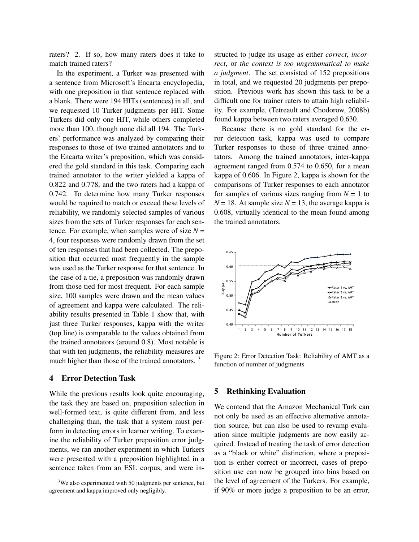raters? 2. If so, how many raters does it take to match trained raters?

In the experiment, a Turker was presented with a sentence from Microsoft's Encarta encyclopedia, with one preposition in that sentence replaced with a blank. There were 194 HITs (sentences) in all, and we requested 10 Turker judgments per HIT. Some Turkers did only one HIT, while others completed more than 100, though none did all 194. The Turkers' performance was analyzed by comparing their responses to those of two trained annotators and to the Encarta writer's preposition, which was considered the gold standard in this task. Comparing each trained annotator to the writer yielded a kappa of 0.822 and 0.778, and the two raters had a kappa of 0.742. To determine how many Turker responses would be required to match or exceed these levels of reliability, we randomly selected samples of various sizes from the sets of Turker responses for each sentence. For example, when samples were of size  $N =$ 4, four responses were randomly drawn from the set of ten responses that had been collected. The preposition that occurred most frequently in the sample was used as the Turker response for that sentence. In the case of a tie, a preposition was randomly drawn from those tied for most frequent. For each sample size, 100 samples were drawn and the mean values of agreement and kappa were calculated. The reliability results presented in Table 1 show that, with just three Turker responses, kappa with the writer (top line) is comparable to the values obtained from the trained annotators (around 0.8). Most notable is that with ten judgments, the reliability measures are much higher than those of the trained annotators.<sup>3</sup>

#### 4 Error Detection Task

While the previous results look quite encouraging, the task they are based on, preposition selection in well-formed text, is quite different from, and less challenging than, the task that a system must perform in detecting errors in learner writing. To examine the reliability of Turker preposition error judgments, we ran another experiment in which Turkers were presented with a preposition highlighted in a sentence taken from an ESL corpus, and were instructed to judge its usage as either *correct*, *incorrect*, or *the context is too ungrammatical to make a judgment*. The set consisted of 152 prepositions in total, and we requested 20 judgments per preposition. Previous work has shown this task to be a difficult one for trainer raters to attain high reliability. For example, (Tetreault and Chodorow, 2008b) found kappa between two raters averaged 0.630.

Because there is no gold standard for the error detection task, kappa was used to compare Turker responses to those of three trained annotators. Among the trained annotators, inter-kappa agreement ranged from 0.574 to 0.650, for a mean kappa of 0.606. In Figure 2, kappa is shown for the comparisons of Turker responses to each annotator for samples of various sizes ranging from  $N = 1$  to  $N = 18$ . At sample size  $N = 13$ , the average kappa is 0.608, virtually identical to the mean found among the trained annotators.



Figure 2: Error Detection Task: Reliability of AMT as a function of number of judgments

#### 5 Rethinking Evaluation

We contend that the Amazon Mechanical Turk can not only be used as an effective alternative annotation source, but can also be used to revamp evaluation since multiple judgments are now easily acquired. Instead of treating the task of error detection as a "black or white" distinction, where a preposition is either correct or incorrect, cases of preposition use can now be grouped into bins based on the level of agreement of the Turkers. For example, if 90% or more judge a preposition to be an error,

 $3$ We also experimented with 50 judgments per sentence, but agreement and kappa improved only negligibly.